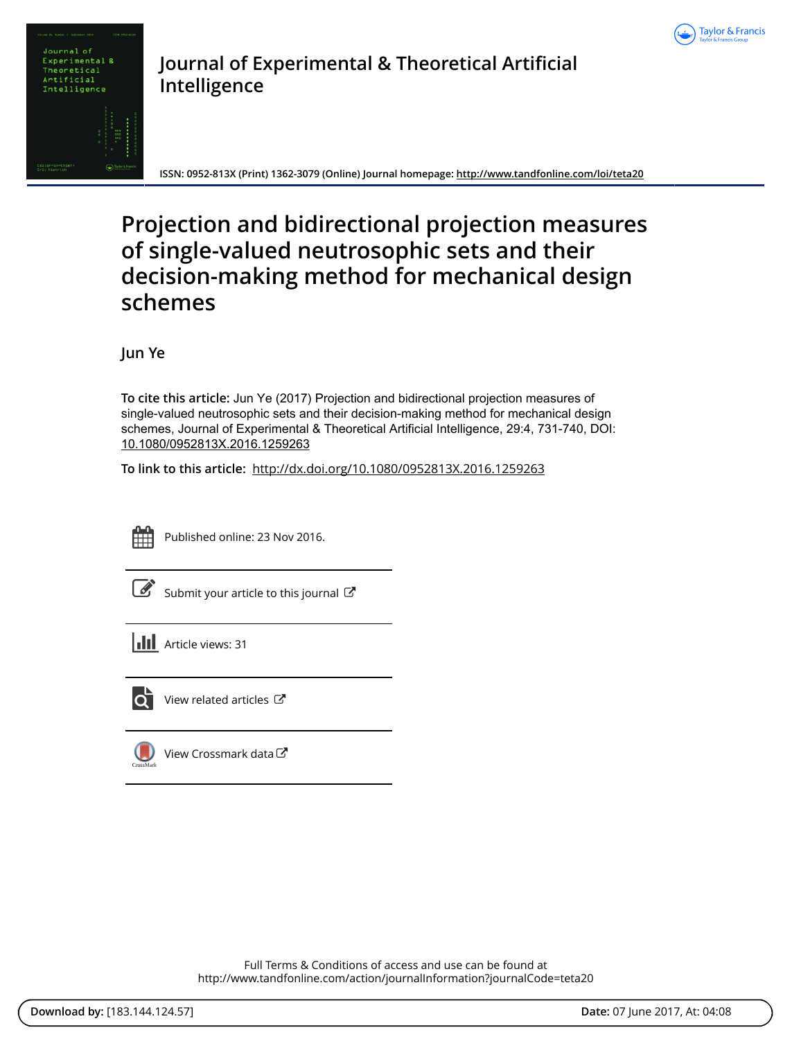



**Journal of Experimental & Theoretical Artificial Intelligence**

**ISSN: 0952-813X (Print) 1362-3079 (Online) Journal homepage: <http://www.tandfonline.com/loi/teta20>**

# **Projection and bidirectional projection measures of single-valued neutrosophic sets and their decision-making method for mechanical design schemes**

**Jun Ye**

**To cite this article:** Jun Ye (2017) Projection and bidirectional projection measures of single-valued neutrosophic sets and their decision-making method for mechanical design schemes, Journal of Experimental & Theoretical Artificial Intelligence, 29:4, 731-740, DOI: [10.1080/0952813X.2016.1259263](http://www.tandfonline.com/action/showCitFormats?doi=10.1080/0952813X.2016.1259263)

**To link to this article:** <http://dx.doi.org/10.1080/0952813X.2016.1259263>



Published online: 23 Nov 2016.

[Submit your article to this journal](http://www.tandfonline.com/action/authorSubmission?journalCode=teta20&show=instructions)  $\mathbb{Z}$ 





[View related articles](http://www.tandfonline.com/doi/mlt/10.1080/0952813X.2016.1259263) C



[View Crossmark data](http://crossmark.crossref.org/dialog/?doi=10.1080/0952813X.2016.1259263&domain=pdf&date_stamp=2016-11-23)

Full Terms & Conditions of access and use can be found at <http://www.tandfonline.com/action/journalInformation?journalCode=teta20>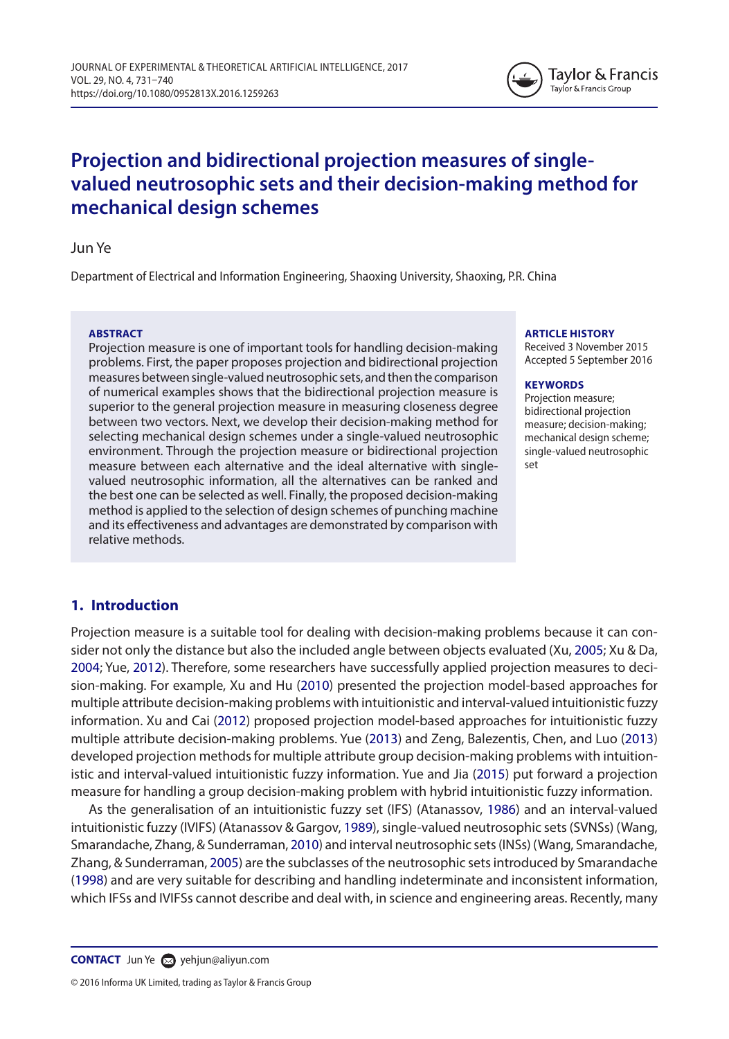

# **Projection and bidirectional projection measures of singlevalued neutrosophic sets and their decision-making method for mechanical design schemes**

### Jun Ye

Department of Electrical and Information Engineering, Shaoxing University, Shaoxing, P.R. China

#### **ABSTRACT**

Projection measure is one of important tools for handling decision-making problems. First, the paper proposes projection and bidirectional projection measures between single-valued neutrosophic sets, and then the comparison of numerical examples shows that the bidirectional projection measure is superior to the general projection measure in measuring closeness degree between two vectors. Next, we develop their decision-making method for selecting mechanical design schemes under a single-valued neutrosophic environment. Through the projection measure or bidirectional projection measure between each alternative and the ideal alternative with singlevalued neutrosophic information, all the alternatives can be ranked and the best one can be selected as well. Finally, the proposed decision-making method is applied to the selection of design schemes of punching machine and its effectiveness and advantages are demonstrated by comparison with relative methods.

#### **ARTICLE HISTORY**

Received 3 November 2015 Accepted 5 September 2016

#### **KEYWORDS**

<span id="page-1-12"></span><span id="page-1-11"></span><span id="page-1-10"></span><span id="page-1-8"></span><span id="page-1-5"></span><span id="page-1-1"></span><span id="page-1-0"></span>Projection measure; bidirectional projection measure; decision-making; mechanical design scheme; single-valued neutrosophic set

# **1. Introduction**

<span id="page-1-9"></span><span id="page-1-7"></span><span id="page-1-6"></span>Projection measure is a suitable tool for dealing with decision-making problems because it can consider not only the distance but also the included angle between objects evaluated (Xu, [2005](#page-9-0); Xu & Da, [2004](#page-9-1); Yue, [2012\)](#page-10-0). Therefore, some researchers have successfully applied projection measures to decision-making. For example, Xu and Hu [\(2010\)](#page-9-2) presented the projection model-based approaches for multiple attribute decision-making problems with intuitionistic and interval-valued intuitionistic fuzzy information. Xu and Cai [\(2012\)](#page-9-3) proposed projection model-based approaches for intuitionistic fuzzy multiple attribute decision-making problems. Yue ([2013](#page-10-1)) and Zeng, Balezentis, Chen, and Luo [\(2013\)](#page-10-2) developed projection methods for multiple attribute group decision-making problems with intuitionistic and interval-valued intuitionistic fuzzy information. Yue and Jia ([2015](#page-10-3)) put forward a projection measure for handling a group decision-making problem with hybrid intuitionistic fuzzy information.

<span id="page-1-4"></span><span id="page-1-3"></span><span id="page-1-2"></span>As the generalisation of an intuitionistic fuzzy set (IFS) (Atanassov, [1986](#page-9-4)) and an interval-valued intuitionistic fuzzy (IVIFS) (Atanassov & Gargov, [1989](#page-9-5)), single-valued neutrosophic sets (SVNSs) (Wang, Smarandache, Zhang, & Sunderraman, [2010\)](#page-9-6) and interval neutrosophic sets (INSs) (Wang, Smarandache, Zhang, & Sunderraman, [2005\)](#page-9-7) are the subclasses of the neutrosophic sets introduced by Smarandache ([1998](#page-9-8)) and are very suitable for describing and handling indeterminate and inconsistent information, which IFSs and IVIFSs cannot describe and deal with, in science and engineering areas. Recently, many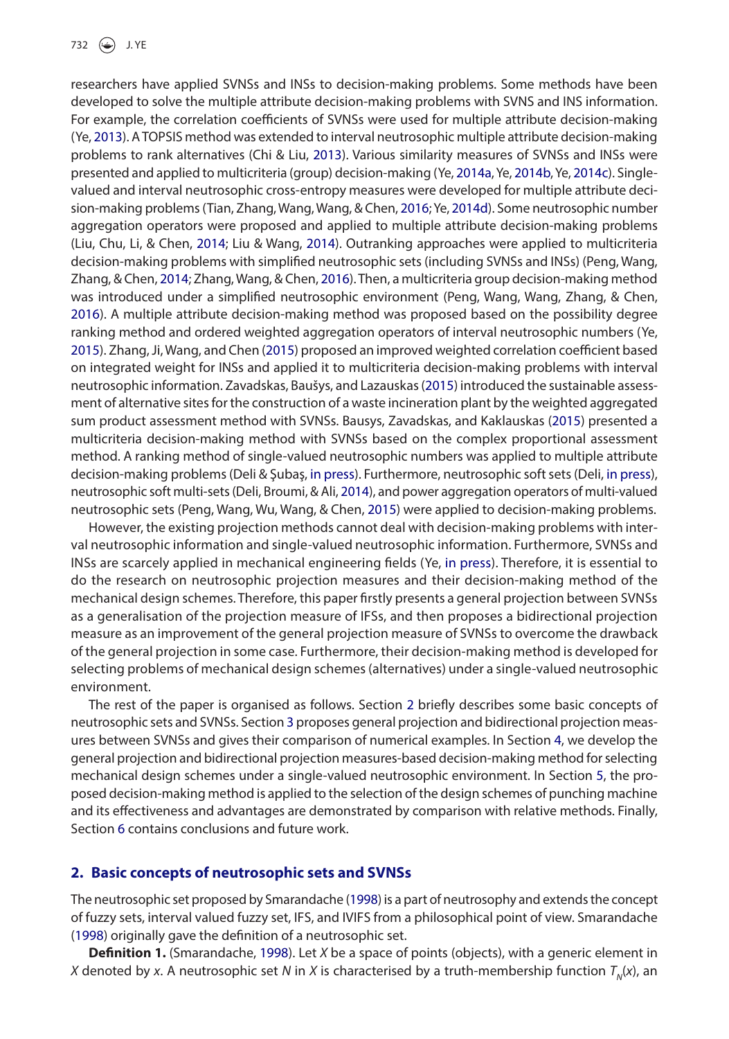<span id="page-2-20"></span><span id="page-2-15"></span><span id="page-2-14"></span><span id="page-2-13"></span><span id="page-2-12"></span><span id="page-2-11"></span><span id="page-2-8"></span><span id="page-2-7"></span><span id="page-2-6"></span><span id="page-2-2"></span>researchers have applied SVNSs and INSs to decision-making problems. Some methods have been developed to solve the multiple attribute decision-making problems with SVNS and INS information. For example, the correlation coefficients of SVNSs were used for multiple attribute decision-making (Ye, [2013\)](#page-9-9). A TOPSIS method was extended to interval neutrosophic multiple attribute decision-making problems to rank alternatives (Chi & Liu, [2013](#page-9-10)). Various similarity measures of SVNSs and INSs were presented and applied to multicriteria (group) decision-making (Ye, [2014a,](#page-10-4) Ye, [2014b,](#page-10-4) Ye, [2014c\)](#page-10-5). Singlevalued and interval neutrosophic cross-entropy measures were developed for multiple attribute decision-making problems (Tian, Zhang, Wang, Wang, & Chen, [2016](#page-9-11); Ye, [2014d](#page-10-6)). Some neutrosophic number aggregation operators were proposed and applied to multiple attribute decision-making problems (Liu, Chu, Li, & Chen, [2014;](#page-9-12) Liu & Wang, [2014\)](#page-9-13). Outranking approaches were applied to multicriteria decision-making problems with simplified neutrosophic sets (including SVNSs and INSs) (Peng, Wang, Zhang, & Chen, [2014;](#page-9-14) Zhang, Wang, & Chen, [2016\)](#page-10-7). Then, a multicriteria group decision-making method was introduced under a simplified neutrosophic environment (Peng, Wang, Wang, Zhang, & Chen, [2016](#page-9-15)). A multiple attribute decision-making method was proposed based on the possibility degree ranking method and ordered weighted aggregation operators of interval neutrosophic numbers (Ye, [2015](#page-10-8)). Zhang, Ji, Wang, and Chen ([2015](#page-10-9)) proposed an improved weighted correlation coefficient based on integrated weight for INSs and applied it to multicriteria decision-making problems with interval neutrosophic information. Zavadskas, Baušys, and Lazauskas ([2015](#page-10-10)) introduced the sustainable assessment of alternative sites for the construction of a waste incineration plant by the weighted aggregated sum product assessment method with SVNSs. Bausys, Zavadskas, and Kaklauskas ([2015](#page-9-16)) presented a multicriteria decision-making method with SVNSs based on the complex proportional assessment method. A ranking method of single-valued neutrosophic numbers was applied to multiple attribute decision-making problems (Deli & Şubaş, [in press\)](#page-9-17). Furthermore, neutrosophic soft sets (Deli, [in press\)](#page-9-18), neutrosophic soft multi-sets (Deli, Broumi, & Ali, [2014\)](#page-9-19), and power aggregation operators of multi-valued neutrosophic sets (Peng, Wang, Wu, Wang, & Chen, [2015](#page-9-20)) were applied to decision-making problems.

<span id="page-2-19"></span><span id="page-2-18"></span><span id="page-2-17"></span><span id="page-2-16"></span><span id="page-2-10"></span><span id="page-2-9"></span><span id="page-2-5"></span><span id="page-2-4"></span><span id="page-2-3"></span><span id="page-2-1"></span>However, the existing projection methods cannot deal with decision-making problems with interval neutrosophic information and single-valued neutrosophic information. Furthermore, SVNSs and INSs are scarcely applied in mechanical engineering fields (Ye, [in press\)](#page-10-11). Therefore, it is essential to do the research on neutrosophic projection measures and their decision-making method of the mechanical design schemes. Therefore, this paper firstly presents a general projection between SVNSs as a generalisation of the projection measure of IFSs, and then proposes a bidirectional projection measure as an improvement of the general projection measure of SVNSs to overcome the drawback of the general projection in some case. Furthermore, their decision-making method is developed for selecting problems of mechanical design schemes (alternatives) under a single-valued neutrosophic environment.

The rest of the paper is organised as follows. Section [2](#page-2-0) briefly describes some basic concepts of neutrosophic sets and SVNSs. Section [3](#page-3-0) proposes general projection and bidirectional projection measures between SVNSs and gives their comparison of numerical examples. In Section [4](#page-5-0), we develop the general projection and bidirectional projection measures-based decision-making method for selecting mechanical design schemes under a single-valued neutrosophic environment. In Section [5,](#page-6-0) the proposed decision-making method is applied to the selection of the design schemes of punching machine and its effectiveness and advantages are demonstrated by comparison with relative methods. Finally, Section [6](#page-8-0) contains conclusions and future work.

#### <span id="page-2-0"></span>**2. Basic concepts of neutrosophic sets and SVNSs**

The neutrosophic set proposed by Smarandache ([1998\)](#page-9-8) is a part of neutrosophy and extends the concept of fuzzy sets, interval valued fuzzy set, IFS, and IVIFS from a philosophical point of view. Smarandache ([1998](#page-9-8)) originally gave the definition of a neutrosophic set.

**Definition 1.** (Smarandache, [1998](#page-9-8)). Let *X* be a space of points (objects), with a generic element in *X* denoted by *x*. A neutrosophic set *N* in *X* is characterised by a truth-membership function  $T_{N}(x)$ , an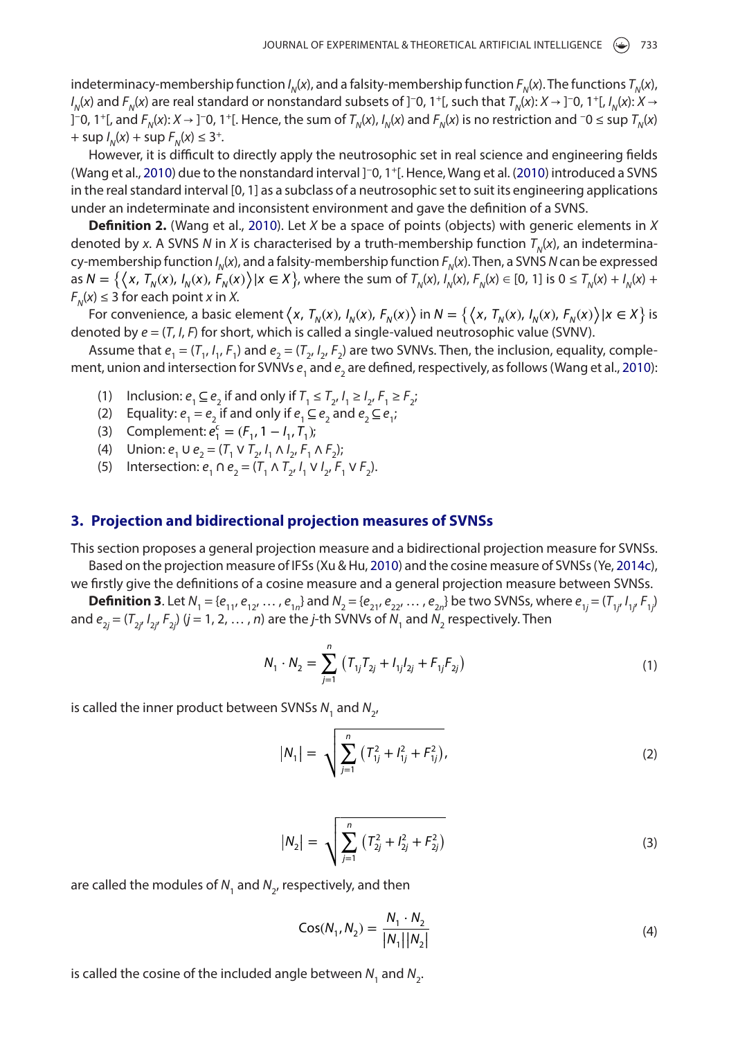indeterminacy-membership function  $I_N(x)$ , and a falsity-membership function  $F_N(x)$ . The functions  $T_N(x)$ , *I<sub>N</sub>*(*x*) and *F<sub>N</sub>*(*x*) are real standard or nonstandard subsets of ]−0, 1+[, such that *T<sub>N</sub>*(*x*): *X* → ]−0, 1+[, *I<sub>N</sub>*(*x*): *X* → ]−0, 1+[, and *F<sub>N</sub>*(*x*): *X* → ]−0, 1+[. Hence, the sum of *T<sub>N</sub>*(*x*), *I<sub>N</sub>*(*x*) and *F<sub>N</sub>*(*x*) is no restriction and −0 ≤ sup *T<sub>N</sub>*(*x*)  $+$  sup  $I_N(x)$  + sup  $F_N(x) \le 3^+$ .

However, it is difficult to directly apply the neutrosophic set in real science and engineering fields (Wang et al., [2010](#page-9-6)) due to the nonstandard interval ]−0, 1+[. Hence, Wang et al. ([2010\)](#page-9-6) introduced a SVNS in the real standard interval [0, 1] as a subclass of a neutrosophic set to suit its engineering applications under an indeterminate and inconsistent environment and gave the definition of a SVNS.

**Definition 2.** (Wang et al., [2010\)](#page-9-6). Let *X* be a space of points (objects) with generic elements in *X* denoted by *x*. A SVNS *N* in *X* is characterised by a truth-membership function  $T<sub>n</sub>(x)$ , an indeterminacy-membership function *I<sub>N</sub>(x)*, and a falsity-membership function  $F_N(x)$ . Then, a SVNS *N* can be expressed  $\lim_{N \to \infty} N = \left\{ (x, T_N(x), I_N(x), F_N(x)) | x \in X \right\}$ , where the sum of  $T_N(x), I_N(x), F_N(x) \in [0, 1]$  is  $0 \le T_N(x) + I_N(x) + I_N(x)$  $F_N(x) \leq 3$  for each point *x* in *X*.

For convenience, a basic element  $\langle x, T_N(x), I_N(x), F_N(x) \rangle$  in  $N = \{\langle x, T_N(x), I_N(x), F_N(x) \rangle | x \in X \}$  is denoted by *e* = (*T*, *I*, *F*) for short, which is called a single-valued neutrosophic value (SVNV).

Assume that  $e_1 = (T_1, I_1, F_1)$  and  $e_2 = (T_2, I_2, F_2)$  are two SVNVs. Then, the inclusion, equality, complement, union and intersection for SVNVs  $e_{_1}$  and  $e_{_2}$  are defined, respectively, as follows (Wang et al., [2010\)](#page-9-6):

- (1) Inclusion:  $e_1 \subseteq e_2$  if and only if  $T_1 \le T_2$ ,  $I_1 \ge I_2$ ,  $F_1 \ge F_2$ ;
- (2) Equality:  $e_1 = e_2$  if and only if  $e_1 ⊆ e_2$  and  $e_2 ⊆ e_1$ ;
- (3) Complement:  $e_1^c = (F_1, 1 I_1, T_1)$ ;
- (4) Union:  $e_1 \cup e_2 = (T_1 \vee T_2, I_1 \wedge I_2, F_1 \wedge F_2)$ ;
- (5) Intersection:  $e_1 \cap e_2 = (T_1 \land T_2, I_1 \lor I_2, F_1 \lor F_2)$ .

#### **3. Projection and bidirectional projection measures of SVNSs**

This section proposes a general projection measure and a bidirectional projection measure for SVNSs.

Based on the projection measure of IFSs (Xu & Hu, [2010\)](#page-9-2) and the cosine measure of SVNSs (Ye, [2014c\)](#page-10-5), we firstly give the definitions of a cosine measure and a general projection measure between SVNSs.

**Definition 3.** Let  $N_1 = \{e_{11}, e_{12}, ..., e_{1n}\}\$  and  $N_2 = \{e_{21}, e_{22}, ..., e_{2n}\}\$  be two SVNSs, where  $e_{1j} = (T_{1j}, I_{1j}, F_{1j})$ and  $e_{2j} = (T_{2j'}\,I_{2j'}\,F_{2j'})\,(j=1,\,2,\,\ldots\,,n)$  are the *j*-th SVNVs of  $N_1$  and  $N_2$  respectively. Then

<span id="page-3-0"></span>
$$
N_1 \cdot N_2 = \sum_{j=1}^n \left( T_{1j} T_{2j} + I_{1j} I_{2j} + F_{1j} F_{2j} \right)
$$
 (1)

is called the inner product between SVNSs N<sub>1</sub> and N<sub>2</sub>,

$$
|N_1| = \sqrt{\sum_{j=1}^n (T_{1j}^2 + I_{1j}^2 + F_{1j}^2)},
$$
\n(2)

$$
|N_2| = \sqrt{\sum_{j=1}^n (T_{2j}^2 + I_{2j}^2 + F_{2j}^2)}
$$
 (3)

are called the modules of  $N<sub>1</sub>$  and  $N<sub>2</sub>$ , respectively, and then

$$
Cos(N_1, N_2) = \frac{N_1 \cdot N_2}{|N_1||N_2|}
$$
 (4)

is called the cosine of the included angle between  $N_1$  and  $N_2$ .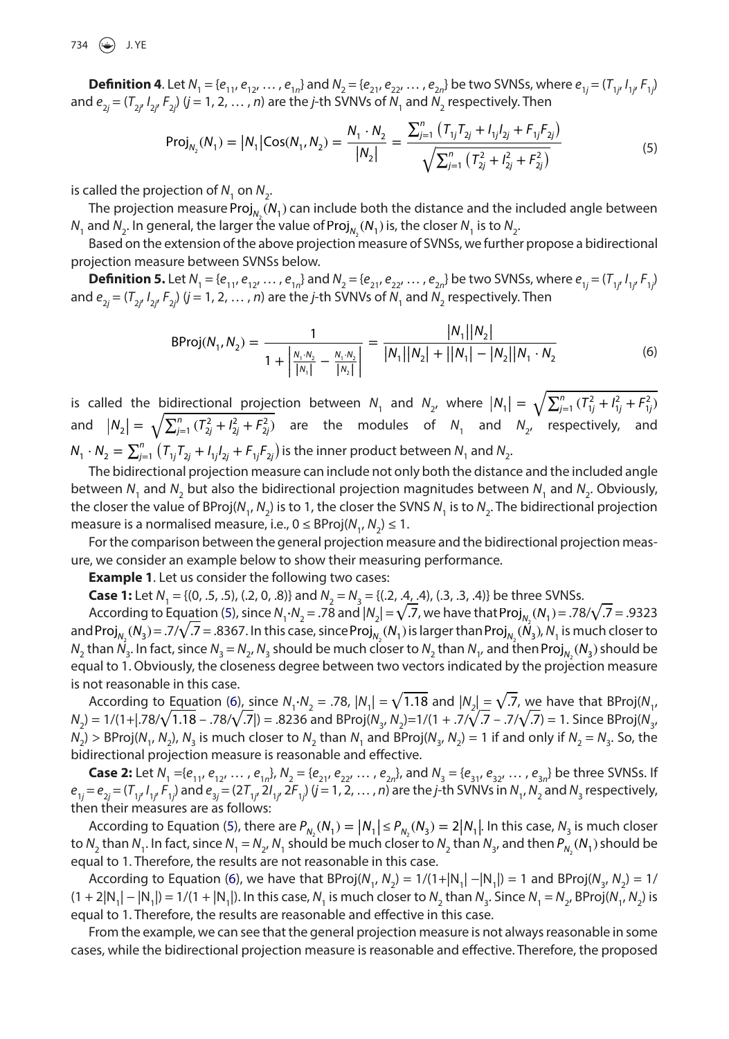734 (a) J. YE

<span id="page-4-0"></span>**Definition 4.** Let  $N_1 = \{e_{11}, e_{12}, ..., e_{1n}\}\$  and  $N_2 = \{e_{21}, e_{22}, ..., e_{2n}\}\$  be two SVNSs, where  $e_{1j} = (T_{1j}, I_{1j}, F_{1j})$ and  $e_{2j} = (T_{2j'}\,I_{2j'}\,F_{2j'})\,(j=1,\,2,\,\ldots\,,n)$  are the *j*-th SVNVs of  $N_1$  and  $N_2$  respectively. Then

$$
Proj_{N_2}(N_1) = |N_1|Cos(N_1, N_2) = \frac{N_1 \cdot N_2}{|N_2|} = \frac{\sum_{j=1}^{n} (T_{1j}T_{2j} + I_{1j}I_{2j} + F_{1j}F_{2j})}{\sqrt{\sum_{j=1}^{n} (T_{2j}^2 + I_{2j}^2 + F_{2j}^2)}}
$$
(5)

is called the projection of  $N_1$  on  $N_2$ .

The projection measure Proj $_{\sf{N}_2}$ ( $\sf{N}_1$ ) can include both the distance and the included angle between  $N_{1}$  and  $N_{2}$ . In general, the larger the value of Proj $_{N_{2}}$ ( $N_{1}$ ) is, the closer  $N_{1}$  is to  $N_{2}$ .

Based on the extension of the above projection measure of SVNSs, we further propose a bidirectional projection measure between SVNSs below.

<span id="page-4-1"></span>**Definition 5.** Let  $N_1 = \{e_{11}, e_{12}, ..., e_{1n}\}\$  and  $N_2 = \{e_{21}, e_{22}, ..., e_{2n}\}\$  be two SVNSs, where  $e_{1j} = (T_{1j}, I_{1j}, F_{1j})$ and  $e_{2j} = (T_{2j'}\,I_{2j'}\,F_{2j})$  ( $j = 1, 2, ..., n$ ) are the *j*-th SVNVs of  $N_{1}$  and  $N_{2}$  respectively. Then

$$
BProj(N_1, N_2) = \frac{1}{1 + \left| \frac{N_1 \cdot N_2}{|N_1|} - \frac{N_1 \cdot N_2}{|N_2|} \right|} = \frac{|N_1||N_2|}{|N_1||N_2| + ||N_1| - |N_2||N_1 \cdot N_2}
$$
(6)

is called the bidirectional projection between  $N_1$  and  $N_2$ , where  $|N_1| = \sqrt{\sum_{j=1}^n (T_{1j}^2 + I_{1j}^2 + F_{1j}^2)}$ and  $|N_2| = \sqrt{\sum_{j=1}^n (T_{2j}^2 + I_{2j}^2 + F_{2j}^2)}$  are the modules of  $N_1$  and  $N_2$ , respectively, and  $N_1\cdot N_2=\sum_{j=1}^n\left(T_{1j}T_{2j}+I_{1j}I_{2j}+F_{1j}F_{2j}\right)$  is the inner product between  $N_1$  and  $N_2$ .

The bidirectional projection measure can include not only both the distance and the included angle between  $N_1$  and  $N_2$  but also the bidirectional projection magnitudes between  $N_1$  and  $N_2$ . Obviously, the closer the value of BProj( $N_1$ ,  $N_2$ ) is to 1, the closer the SVNS  $N_1$  is to  $N_2$ . The bidirectional projection measure is a normalised measure, i.e.,  $0 \leq BProj(N_1, N_2) \leq 1$ .

For the comparison between the general projection measure and the bidirectional projection measure, we consider an example below to show their measuring performance.

**Example 1**. Let us consider the following two cases:

**Case 1:** Let  $N_1 = \{(0, .5, .5), (.2, 0, .8)\}$  and  $N_2 = N_3 = \{(0.2, .4, .4), (.3, .3, .4)\}$  be three SVNSs.

According to Equation [\(5](#page-4-0)), since  $N_1 \cdot N_2 = .78$  and  $|N_2| = \sqrt{.7}$ , we have that Proj<sub>N<sub>2</sub></sub> ( $N_1$ ) = .78/ $\sqrt{.7}$  = .9323 and Proj<sub>N<sub>2</sub></sub> (N<sub>3</sub>) = .7/ $\sqrt{.7}$  = .8367. In this case, since Proj<sub>N<sub>2</sub></sub> (N<sub>1</sub>) is larger than Proj<sub>N<sub>2</sub></sub> (N<sub>3</sub>), N<sub>1</sub> is much closer to  $N_2$  than  $\bar{N_3}$ . In fact, since  $N_3 = N_{2'}$   $N_3$  should be much closer to  $N_2$  than  $N_{1'}$  and then Proj $_{N_2}(N_3)$  should be equal to 1. Obviously, the closeness degree between two vectors indicated by the projection measure is not reasonable in this case.

According to Equation ([6\)](#page-4-1), since  $N_1 \cdot N_2 = .78$ ,  $|N_1| = \sqrt{1.18}$  and  $|N_2| = \sqrt{.7}$ , we have that BProj( $N_1$ ,  $N_2$ ) = 1/(1+|.78/ $\sqrt{1.18}$  – .78/ $\sqrt{.7}$ |) = .8236 and BProj( $N_3$ ,  $N_2$ )=1/(1 + .7/ $\sqrt{.7}$  – .7/ $\sqrt{.7}$ ) = 1. Since BProj( $N_3$ ,  $N_2$ ) > BProj( $N_1$ ,  $N_2$ ),  $N_3$  is much closer to  $N_2$  than  $N_1$  and BProj( $N_3$ ,  $N_2$ ) = 1 if and only if  $N_2 = N_3$ . So, the bidirectional projection measure is reasonable and effective.

**Case 2:** Let  $N_1 = \{e_{11}, e_{12}, \ldots, e_{1n}\}$ ,  $N_2 = \{e_{21}, e_{22}, \ldots, e_{2n}\}$ , and  $N_3 = \{e_{31}, e_{32}, \ldots, e_{3n}\}$  be three SVNSs. If  $e_{1j}=e_{2j}=(T_{1j'}l_{1j'}F_{1j})$  and  $e_{3j}=(2T_{1j'}2l_{1j'}2F_{1j'}(j=1,2,\ldots,n)$  are the *j*-th SVNVs in  $N_{1'}N_2$  and  $N_3$  respectively, then their measures are as follows:

According to Equation ([5\)](#page-4-0), there are  $P_{N_2}(N_1) = |N_1| \le P_{N_2}(N_3) = 2|N_1|$ . In this case,  $N_3$  is much closer<br>Number  $N_1$ , in fact since  $N_2 = N_1$ ,  $N_2$  should be much closer to  $N_1$  than  $N_2$ , and then  $P_{N_1}(N_1)$ to  $N_2$  than  $N_1$ . In fact, since  $N_1 = N_2$ ,  $N_1$  should be much closer to  $N_2$  than  $N_3$ , and then  $P_{N_2}$  ( $N_1$ ) should be equal to 1. Therefore, the results are not reasonable in this case.

According to Equation ([6\)](#page-4-1), we have that BProj( $N_1$ ,  $N_2$ ) = 1/(1+|N<sub>1</sub>| −|N<sub>1</sub>|) = 1 and BProj( $N_3$ ,  $N_2$ ) = 1/  $(1 + 2|N_1| - |N_1|) = 1/(1 + |N_1|)$ . In this case,  $N_1$  is much closer to  $N_2$  than  $N_3$ . Since  $N_1 = N_2$ , BProj( $N_1, N_2$ ) is equal to 1. Therefore, the results are reasonable and effective in this case.

From the example, we can see that the general projection measure is not always reasonable in some cases, while the bidirectional projection measure is reasonable and effective. Therefore, the proposed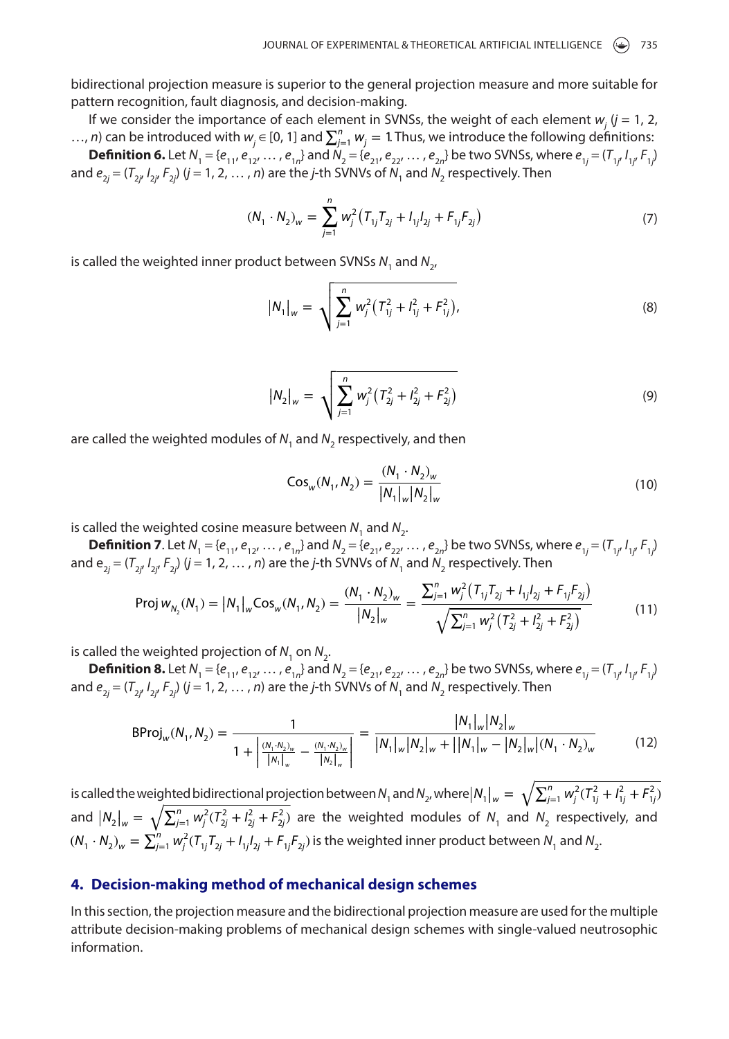bidirectional projection measure is superior to the general projection measure and more suitable for pattern recognition, fault diagnosis, and decision-making.

If we consider the importance of each element in SVNSs, the weight of each element  $w_j$   $(j = 1, 2, ...)$ …, *n*) can be introduced with  $w_j \in [0, 1]$  and  $\sum_{j=1}^n w_j = 1$ . Thus, we introduce the following definitions: **Definition 6.** Let  $N_1 = \{e_{11}, e_{12}, ..., e_{1n}\}\$  and  $N_2 = \{e_{21}, e_{22}, ..., e_{2n}\}\$  be two SVNSs, where  $e_{1j} = (T_{1j}, I_{1j}, F_{1j})$ and  $e_{2j} = (T_{2j'}\,I_{2j'}\,F_{2j})$  ( $j = 1, 2, ..., n$ ) are the *j*-th SVNVs of  $N_{1}$  and  $N_{2}$  respectively. Then

$$
(N_1 \cdot N_2)_w = \sum_{j=1}^n w_j^2 (T_{1j} T_{2j} + I_{1j} I_{2j} + F_{1j} F_{2j})
$$
 (7)

is called the weighted inner product between SVNSs  $N_1$  and  $N_2$ ,

$$
|N_1|_w = \sqrt{\sum_{j=1}^n w_j^2 (T_{1j}^2 + I_{1j}^2 + F_{1j}^2)},
$$
\n(8)

$$
|N_2|_w = \sqrt{\sum_{j=1}^n w_j^2 (T_{2j}^2 + I_{2j}^2 + F_{2j}^2)}
$$
 (9)

<span id="page-5-1"></span>are called the weighted modules of N<sub>1</sub> and N<sub>2</sub> respectively, and then

<span id="page-5-0"></span>
$$
Cos_w(N_1, N_2) = \frac{(N_1 \cdot N_2)_w}{|N_1|_w |N_2|_w}
$$
\n(10)

is called the weighted cosine measure between  $N_1$  and  $N_2$ .

**Definition 7.** Let  $N_1 = \{e_{11}, e_{12}, ..., e_{1n}\}\$  and  $N_2 = \{e_{21}, e_{22}, ..., e_{2n}\}\$  be two SVNSs, where  $e_{1j} = (T_{1j}, I_{1j}, F_{1j})$ and  $e_{2j} = (T_{2j'}\,I_{2j'}\,F_{2j'})\,(j=1,\,2,\,\ldots\,,n)$  are the *j*-th SVNVs of  $N_{_1}$  and  $N_{_2}$  respectively. Then

$$
\text{Proj } w_{N_2}(N_1) = |N_1|_w \text{Cos}_w(N_1, N_2) = \frac{(N_1 \cdot N_2)_w}{|N_2|_w} = \frac{\sum_{j=1}^n w_j^2 (T_{1j} T_{2j} + I_{1j} I_{2j} + F_{1j} F_{2j})}{\sqrt{\sum_{j=1}^n w_j^2 (T_{2j}^2 + I_{2j}^2 + F_{2j}^2)}}
$$
(11)

is called the weighted projection of  $N_1$  on  $N_2$ .

**Definition 8.** Let  $N_1 = \{e_{11}, e_{12}, ..., e_{1n}\}\$ and  $N_2 = \{e_{21}, e_{22}, ..., e_{2n}\}\$ be two SVNSs, where  $e_{1j} = (T_{1j}, I_{1j}, F_{1j})$ and  $e_{2j} = (T_{2j'}\,I_{2j'}\,F_{2j'})\,(j=1,\,2,\,\ldots\,,n)$  are the *j*-th SVNVs of  $N_{_1}$  and  $N_{_2}$  respectively. Then

$$
BProj_{w}(N_{1}, N_{2}) = \frac{1}{1 + \left| \frac{(N_{1} \cdot N_{2})_{w}}{|N_{1}|_{w}} - \frac{(N_{1} \cdot N_{2})_{w}}{|N_{2}|_{w}} \right|} = \frac{|N_{1}|_{w}|N_{2}|_{w}}{|N_{1}|_{w}|N_{2}|_{w} + ||N_{1}|_{w} - |N_{2}|_{w}|(N_{1} \cdot N_{2})_{w}}
$$
(12)

is called the weighted bidirectional projection between  $N_1$  and  $N_2$ , where  $|N_1|_w = \sqrt{\sum_{j=1}^n w_j^2 (T_{1j}^2 + I_{1j}^2 + F_{1j}^2)}$ and  $|N_2|_w = \sqrt{\sum_{j=1}^n w_j^2 (T_{2j}^2 + I_{2j}^2 + F_{2j}^2)}$  are the weighted modules of  $N_1$  and  $N_2$  respectively, and  $(N_1\cdot N_2)_w=\sum_{j=1}^n w_j^2 (T_{1j}T_{2j}+I_{1j}I_{2j}+F_{1j}F_{2j})$  is the weighted inner product between  $N_1$  and  $N_2$ .

#### **4. Decision-making method of mechanical design schemes**

In this section, the projection measure and the bidirectional projection measure are used for the multiple attribute decision-making problems of mechanical design schemes with single-valued neutrosophic information.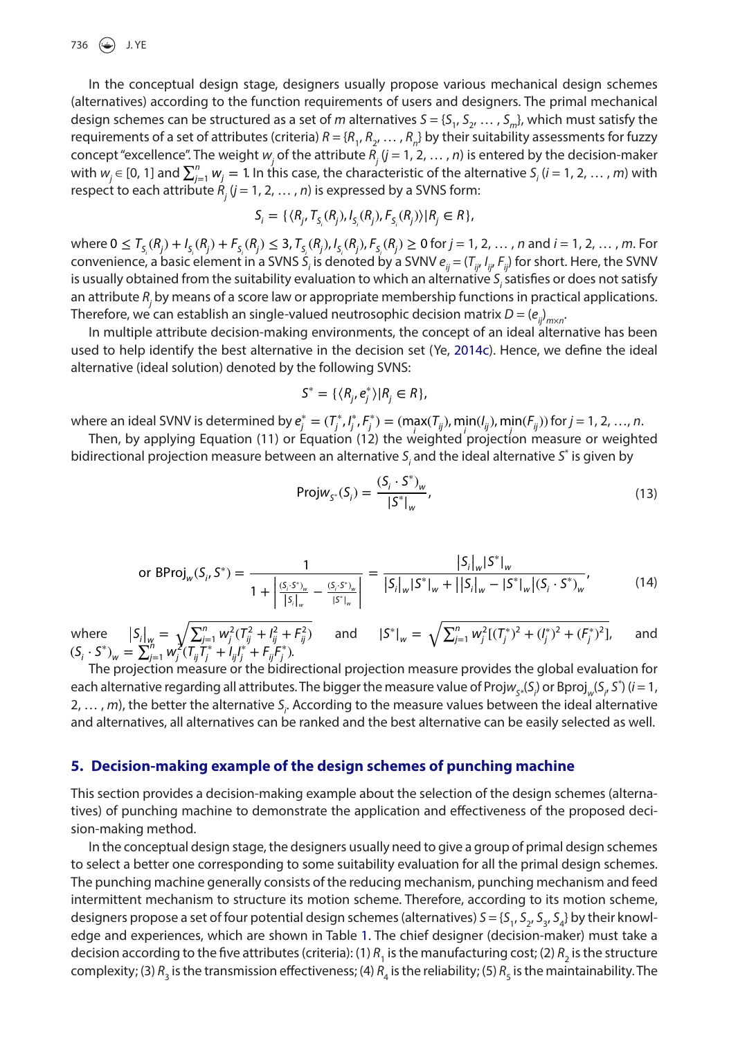736  $\left(\bigodot\right)$  J. YE

In the conceptual design stage, designers usually propose various mechanical design schemes (alternatives) according to the function requirements of users and designers. The primal mechanical design schemes can be structured as a set of *m* alternatives  $S = \{S_1, S_2, \ldots, S_m\}$ , which must satisfy the requirements of a set of attributes (criteria)  $R = \{R_1, R_2, \ldots, R_n\}$  by their suitability assessments for fuzzy concept "excellence". The weight  $w_j$  of the attribute  $R_j$  ( $j = 1, 2, ..., n$ ) is entered by the decision-maker with  $w_j \in [0, 1]$  and  $\sum_{j=1}^n w_j = 1$ . In this case, the characteristic of the alternative  $S_j$  (*i* = 1, 2, ..., *m*) with respect to each attribute  $R_j$  ( $j = 1, 2, ..., n$ ) is expressed by a SVNS form:

$$
S_i = \{ \langle R_{j}, T_{S_i}(R_j), I_{S_i}(R_j), F_{S_i}(R_j) \rangle | R_j \in R \},\
$$

 $\text{where } 0 \leq T_{S_i}(R_j) + I_{S_i}(R_j) + F_{S_i}(R_j) \leq 3, T_{S_i}(R_j), I_{S_i}(R_j), F_{S_i}(R_j) \geq 0 \text{ for } j = 1, 2, ..., n \text{ and } i = 1, 2, ..., m.$  For convenience, a basic element in a SVNS S<sub>i</sub> is denoted by a SVNV  $e_{ij} = (T_{ij} I_{ij} F_{ij})$  for short. Here, the SVNV is usually obtained from the suitability evaluation to which an alternative S<sub>i</sub> satisfies or does not satisfy an attribute *Rj* by means of a score law or appropriate membership functions in practical applications. Therefore, we can establish an single-valued neutrosophic decision matrix *D* = (*eij*) *<sup>m</sup>*×*<sup>n</sup>*.

In multiple attribute decision-making environments, the concept of an ideal alternative has been used to help identify the best alternative in the decision set (Ye, [2014c](#page-10-5)). Hence, we define the ideal alternative (ideal solution) denoted by the following SVNS:

$$
S^* = \{ \langle R_j, e_j^* \rangle | R_j \in R \},\
$$

where an ideal SVNV is determined by  $e_j^* = (T_j^*, I_j^*, F_j^*) = (\max(T_{ij}), \min(I_{ij}), \min(F_{ij}))$  for  $j = 1, 2, ..., n$ .

Then, by applying Equation (11) or Equation (12) the weighted projection measure or weighted bidirectional projection measure between an alternative S<sub>i</sub> and the ideal alternative S<sup>\*</sup> is given by

$$
Projw_{S^*}(S_i) = \frac{(S_i \cdot S^*)_w}{|S^*|_w},
$$
\n(13)

or BProj<sub>w</sub>(S<sub>i</sub>, S<sup>\*</sup>) = 
$$
\frac{1}{1 + \left| \frac{(S_i \cdot S^*)_w}{|S_i|_w} - \frac{(S_i \cdot S^*)_w}{|S^*|_w} \right|} = \frac{|S_i|_w |S^*|_w}{|S_i|_w |S^*|_w + |S_i|_w - |S^*|_w |(S_i \cdot S^*)_w},
$$
(14)

where  $\left| S_i \right|_w = \sqrt{\sum_{j=1}^n w_j^2 (T_{ij}^2 + I_{ij}^2 + F_{ij}^2)}$  $\frac{1}{i^{2}}$  and  $|S^*|_{w} = \sqrt{\sum_{j=1}^{n} w_j^2 \left[ (\mathcal{T}_j^*)^2 + (\mathcal{I}_j^*)^2 + (\mathcal{F}_j^*)^2 \right]}$ and  $(S_i \cdot S^*)_{w} = \sum_{j=1}^{h} w_j^{2j} (\overline{I_{ij}} \overline{I_j}^* + I_{ij}I_j^* + F_{ij}F_j^*).$ 

The projection measure or the bidirectional projection measure provides the global evaluation for each alternative regarding all attributes. The bigger the measure value of Proj $w_{S*}(S_i)$  or Bproj<sub>w</sub>(S<sub>i</sub>, S<sup>\*</sup>) (i = 1, 2, ..., *m*), the better the alternative S<sub>i</sub>. According to the measure values between the ideal alternative and alternatives, all alternatives can be ranked and the best alternative can be easily selected as well.

#### <span id="page-6-0"></span>**5. Decision-making example of the design schemes of punching machine**

This section provides a decision-making example about the selection of the design schemes (alternatives) of punching machine to demonstrate the application and effectiveness of the proposed decision-making method.

In the conceptual design stage, the designers usually need to give a group of primal design schemes to select a better one corresponding to some suitability evaluation for all the primal design schemes. The punching machine generally consists of the reducing mechanism, punching mechanism and feed intermittent mechanism to structure its motion scheme. Therefore, according to its motion scheme, designers propose a set of four potential design schemes (alternatives)  $S = \{S_1, S_2, S_3, S_4\}$  by their knowledge and experiences, which are shown in Table 1. The chief designer (decision-maker) must take a decision according to the five attributes (criteria): (1)  $R_1$  is the manufacturing cost; (2)  $R_2$  is the structure complexity; (3)  $R_3$  is the transmission effectiveness; (4)  $R_4$  is the reliability; (5)  $R_5$  is the maintainability. The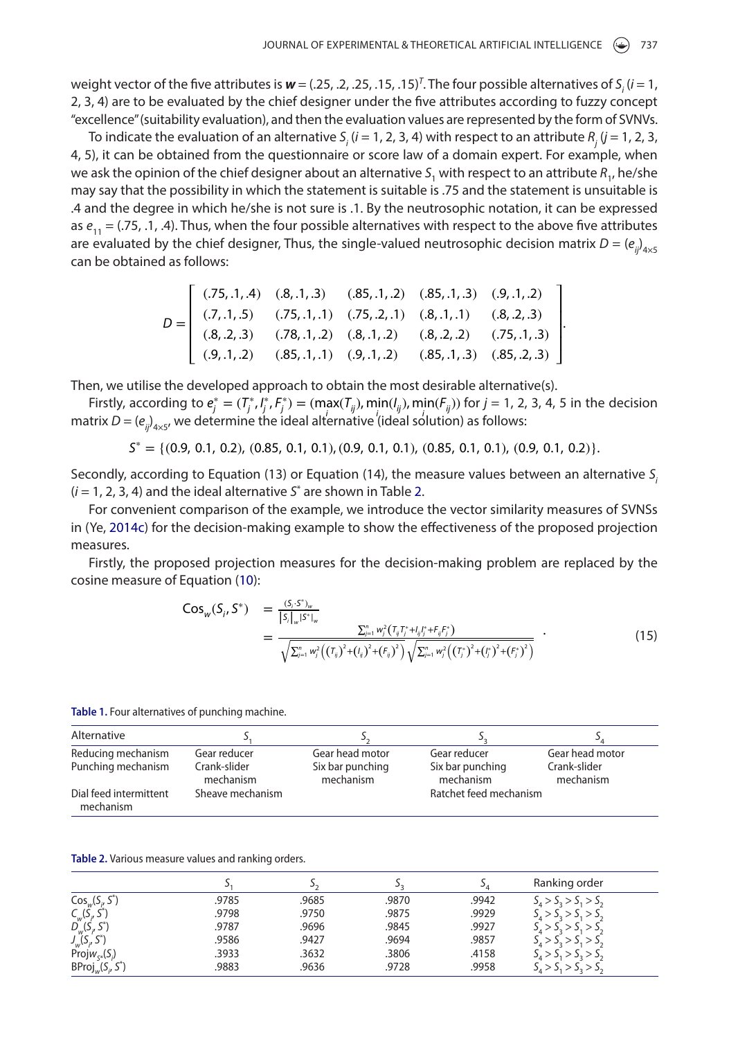weight vector of the five attributes is  $w = (.25, .2, .25, .15, .15)^T$ . The four possible alternatives of  $S_i$  (*i* = 1, 2, 3, 4) are to be evaluated by the chief designer under the five attributes according to fuzzy concept "excellence" (suitability evaluation), and then the evaluation values are represented by the form of SVNVs.

To indicate the evaluation of an alternative  $S_i$  ( $i = 1, 2, 3, 4$ ) with respect to an attribute  $R_j$  ( $j = 1, 2, 3, 4$ 4, 5), it can be obtained from the questionnaire or score law of a domain expert. For example, when we ask the opinion of the chief designer about an alternative *S*<sub>1</sub> with respect to an attribute *R<sub>1</sub>*, he/she may say that the possibility in which the statement is suitable is .75 and the statement is unsuitable is .4 and the degree in which he/she is not sure is .1. By the neutrosophic notation, it can be expressed as  $e_{11} = (0.75, 0.1, 0.4)$ . Thus, when the four possible alternatives with respect to the above five attributes are evaluated by the chief designer, Thus, the single-valued neutrosophic decision matrix  $D = (e_{ij})_{4 \times 5}$ can be obtained as follows:

|  | $D = \begin{bmatrix} (.75, .1, .4) & (.8, .1, .3) & (.85, .1, .2) & (.85, .1, .3) & (.9, .1, .2) \\ (.7, .1, .5) & (.75, .1, .1) & (.75, .2, .1) & (.8, .1, .1) & (.8, .2, .3) \\ (.8, .2, .3) & (.78, .1, .2) & (.8, .1, .2) & (.8, .2, .2) & (.75, .1, .3) \\ (.9, .1, .2) & (.85, .1, .1) & (.9, .1, .2) & (.85, .1, .3) & (.85, .2, .3) \end{$ |  |  |  |
|--|----------------------------------------------------------------------------------------------------------------------------------------------------------------------------------------------------------------------------------------------------------------------------------------------------------------------------------------------------|--|--|--|
|  |                                                                                                                                                                                                                                                                                                                                                    |  |  |  |

Then, we utilise the developed approach to obtain the most desirable alternative(s).

Firstly, according to  $e_j^* = (T_j^*, I_j^*, F_j^*) = (\max(T_{ij}), \min(I_{ij}), \min(F_{ij}))$  for  $j = 1, 2, 3, 4, 5$  in the decision matrix  $D = (e_{ij})_{4 \times 5'}$  we determine the ideal alternative (ideal solution) as follows:

 $S^* = \{(0.9, 0.1, 0.2), (0.85, 0.1, 0.1), (0.9, 0.1, 0.1), (0.85, 0.1, 0.1), (0.9, 0.1, 0.2)\}.$ 

Secondly, according to Equation (13) or Equation (14), the measure values between an alternative *Si*  $(i = 1, 2, 3, 4)$  and the ideal alternative  $S^*$  are shown in Table 2.

For convenient comparison of the example, we introduce the vector similarity measures of SVNSs in (Ye, [2014c\)](#page-10-5) for the decision-making example to show the effectiveness of the proposed projection measures.

<span id="page-7-0"></span>Firstly, the proposed projection measures for the decision-making problem are replaced by the cosine measure of Equation ([10\)](#page-5-1):

$$
Cos_{w}(S_{i}, S^{*}) = \frac{(S_{i} S^{*})_{w}}{|S_{i}|_{w}|S^{*}|_{w}}
$$
  
= 
$$
\frac{\sum_{j=1}^{n} w_{j}^{2} (T_{ij} T_{j}^{*} + I_{ij} t_{j}^{*} + F_{ij} t_{j}^{*})}{\sqrt{\sum_{j=1}^{n} w_{j}^{2} ((T_{ij})^{2} + (t_{ij})^{2} + (F_{ij})^{2})} \sqrt{\sum_{j=1}^{n} w_{j}^{2} ((T_{i}^{*})^{2} + (t_{j}^{*})^{2} + (t_{j}^{*})^{2})}}
$$
(15)

**Table 1.** Four alternatives of punching machine.

| Alternative                         |                           |                               | J -                           |                           |
|-------------------------------------|---------------------------|-------------------------------|-------------------------------|---------------------------|
| Reducing mechanism                  | Gear reducer              | Gear head motor               | Gear reducer                  | Gear head motor           |
| Punching mechanism                  | Crank-slider<br>mechanism | Six bar punching<br>mechanism | Six bar punching<br>mechanism | Crank-slider<br>mechanism |
| Dial feed intermittent<br>mechanism | Sheave mechanism          |                               | Ratchet feed mechanism        |                           |

**Table 2.** Various measure values and ranking orders.

|                                 |       |       |       | ◡     | Ranking order                   |
|---------------------------------|-------|-------|-------|-------|---------------------------------|
| $Cos_w(S_i, S^*)$               | .9785 | .9685 | .9870 | .9942 | $S_{4} > S_{3} > S_{1} > S_{2}$ |
| $C_{w}(S_{i}, S^{*})$           | .9798 | .9750 | .9875 | .9929 | $S_1 > S_2 > S_1 > S_2$         |
| $D_{W}(S_{i}, S^{*})$           | .9787 | .9696 | .9845 | .9927 | $S_1 > S_2 > S_1 > S_2$         |
| $J_{W}^{S} (S_{i}, S^{*})$      | .9586 | .9427 | .9694 | .9857 | 5, > 5, > 5, > 5,               |
| Proj $w_{\varsigma}(\varsigma)$ | .3933 | .3632 | .3806 | .4158 | 5, > 5, > 5, > 5                |
| $BProj_w(S_i, S^*)$             | .9883 | .9636 | .9728 | .9958 | 5, > 5, > 5, > 5                |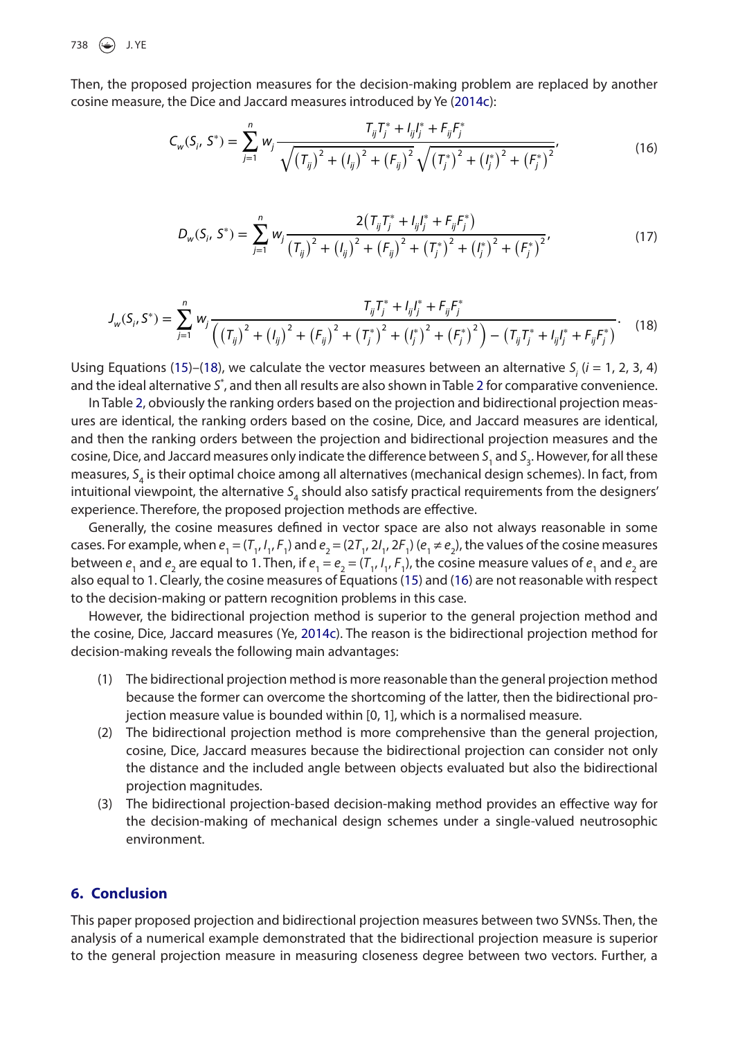738  $\bigodot$  J.YE

<span id="page-8-2"></span>Then, the proposed projection measures for the decision-making problem are replaced by another cosine measure, the Dice and Jaccard measures introduced by Ye ([2014c](#page-10-5)):

$$
C_{w}(S_{i}, S^{*}) = \sum_{j=1}^{n} w_{j} \frac{T_{ij}T_{j}^{*} + I_{ij}I_{j}^{*} + F_{ij}F_{j}^{*}}{\sqrt{\left(T_{ij}\right)^{2} + \left(I_{ij}\right)^{2} + \left(F_{ij}\right)^{2}} \sqrt{\left(T_{j}^{*}\right)^{2} + \left(I_{j}^{*}\right)^{2} + \left(I_{j}^{*}\right)^{2}}},
$$
\n(16)

$$
D_{w}(S_{i}, S^{*}) = \sum_{j=1}^{n} w_{j} \frac{2(T_{ij}T_{j}^{*} + I_{ij}I_{j}^{*} + F_{ij}F_{j}^{*})}{(T_{ij})^{2} + (I_{ij})^{2} + (F_{ij})^{2} + (T_{j}^{*})^{2} + (I_{j}^{*})^{2} + (F_{j}^{*})^{2}},
$$
\n(17)

<span id="page-8-1"></span>
$$
J_{w}(S_{i}, S^{*}) = \sum_{j=1}^{n} w_{j} \frac{T_{ij}T_{j}^{*} + I_{ij}I_{j}^{*} + F_{ij}F_{j}^{*}}{\left(\left(T_{ij}\right)^{2} + \left(I_{ij}\right)^{2} + \left(F_{ij}\right)^{2} + \left(T_{j}^{*}\right)^{2} + \left(I_{j}^{*}\right)^{2} + \left(F_{j}^{*}\right)^{2}\right) - \left(T_{ij}T_{j}^{*} + I_{ij}I_{j}^{*} + F_{ij}F_{j}^{*}\right)}.
$$
 (18)

Using Equations ([15\)](#page-7-0)–([18\)](#page-8-1), we calculate the vector measures between an alternative  $S_i$  ( $i = 1, 2, 3, 4$ ) and the ideal alternative S<sup>\*</sup>, and then all results are also shown in Table 2 for comparative convenience.

In Table 2, obviously the ranking orders based on the projection and bidirectional projection measures are identical, the ranking orders based on the cosine, Dice, and Jaccard measures are identical, and then the ranking orders between the projection and bidirectional projection measures and the cosine, Dice, and Jaccard measures only indicate the difference between S<sub>1</sub> and S<sub>3</sub>. However, for all these measures, *S*4 is their optimal choice among all alternatives (mechanical design schemes). In fact, from intuitional viewpoint, the alternative  $S<sub>4</sub>$  should also satisfy practical requirements from the designers' experience. Therefore, the proposed projection methods are effective.

Generally, the cosine measures defined in vector space are also not always reasonable in some cases. For example, when  $e_1 = (T_1, I_1, F_1)$  and  $e_2 = (2T_1, 2I_1, 2F_1)$  ( $e_1 \neq e_2$ ), the values of the cosine measures between  $e_1$  and  $e_2$  are equal to 1. Then, if  $e_1 = e_2 = (T_1, I_1, F_1)$ , the cosine measure values of  $e_1$  and  $e_2$  are also equal to 1. Clearly, the cosine measures of Equations ([15](#page-7-0)) and ([16](#page-8-2)) are not reasonable with respect to the decision-making or pattern recognition problems in this case.

However, the bidirectional projection method is superior to the general projection method and the cosine, Dice, Jaccard measures (Ye, [2014c\)](#page-10-5). The reason is the bidirectional projection method for decision-making reveals the following main advantages:

- (1) The bidirectional projection method is more reasonable than the general projection method because the former can overcome the shortcoming of the latter, then the bidirectional projection measure value is bounded within [0, 1], which is a normalised measure.
- (2) The bidirectional projection method is more comprehensive than the general projection, cosine, Dice, Jaccard measures because the bidirectional projection can consider not only the distance and the included angle between objects evaluated but also the bidirectional projection magnitudes.
- <span id="page-8-0"></span>(3) The bidirectional projection-based decision-making method provides an effective way for the decision-making of mechanical design schemes under a single-valued neutrosophic environment.

## **6. Conclusion**

This paper proposed projection and bidirectional projection measures between two SVNSs. Then, the analysis of a numerical example demonstrated that the bidirectional projection measure is superior to the general projection measure in measuring closeness degree between two vectors. Further, a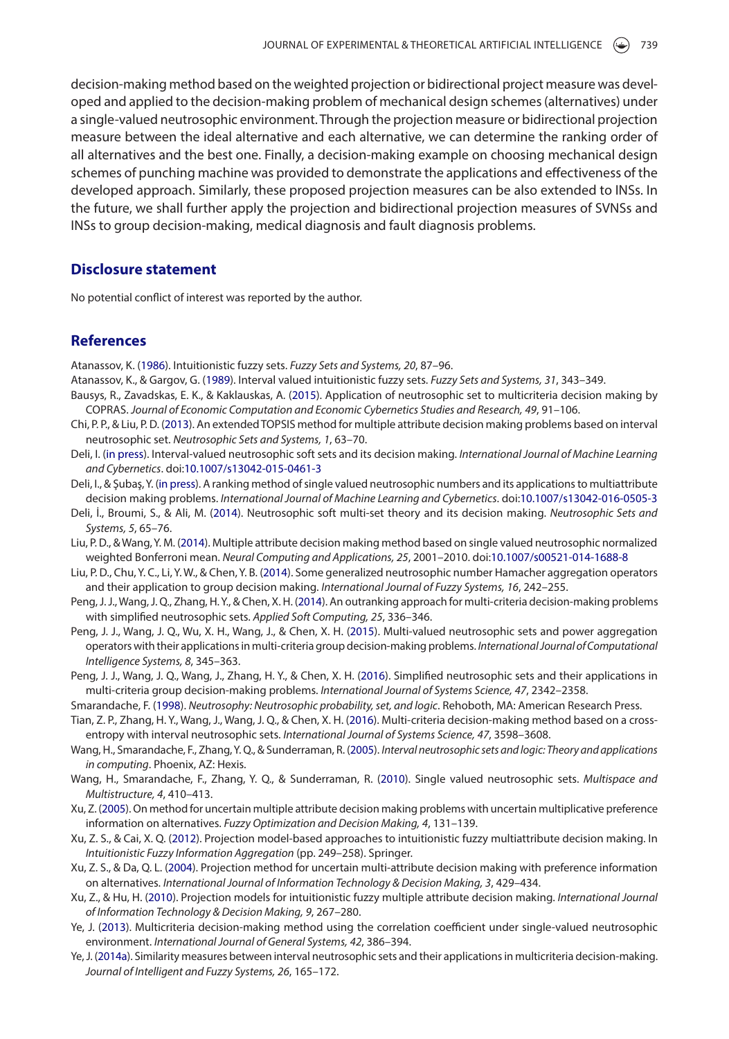decision-making method based on the weighted projection or bidirectional project measure was developed and applied to the decision-making problem of mechanical design schemes (alternatives) under a single-valued neutrosophic environment. Through the projection measure or bidirectional projection measure between the ideal alternative and each alternative, we can determine the ranking order of all alternatives and the best one. Finally, a decision-making example on choosing mechanical design schemes of punching machine was provided to demonstrate the applications and effectiveness of the developed approach. Similarly, these proposed projection measures can be also extended to INSs. In the future, we shall further apply the projection and bidirectional projection measures of SVNSs and INSs to group decision-making, medical diagnosis and fault diagnosis problems.

#### **Disclosure statement**

No potential conflict of interest was reported by the author.

# **References**

<span id="page-9-4"></span>Atanassov, K. [\(1986\)](#page-1-0). Intuitionistic fuzzy sets. *Fuzzy Sets and Systems, 20*, 87–96.

- <span id="page-9-5"></span>Atanassov, K., & Gargov, G. [\(1989\)](#page-1-1). Interval valued intuitionistic fuzzy sets. *Fuzzy Sets and Systems, 31*, 343–349.
- <span id="page-9-16"></span>Bausys, R., Zavadskas, E. K., & Kaklauskas, A. ([2015](#page-2-1)). Application of neutrosophic set to multicriteria decision making by COPRAS. *Journal of Economic Computation and Economic Cybernetics Studies and Research, 49*, 91–106.
- <span id="page-9-10"></span>Chi, P. P., & Liu, P. D. ([2013\)](#page-2-2). An extended TOPSIS method for multiple attribute decision making problems based on interval neutrosophic set. *Neutrosophic Sets and Systems, 1*, 63–70.
- <span id="page-9-18"></span>Deli, I. ([in press](#page-2-3)). Interval-valued neutrosophic soft sets and its decision making. *International Journal of Machine Learning and Cybernetics*. doi:[10.1007/s13042-015-0461-3](https://doi.org/10.1007/s13042-015-0461-3)
- <span id="page-9-17"></span>Deli, I., & Şubaş, Y. [\(in press](#page-2-4)). A ranking method of single valued neutrosophic numbers and its applications to multiattribute decision making problems. *International Journal of Machine Learning and Cybernetics*. doi[:10.1007/s13042-016-0505-3](https://doi.org/10.1007/s13042-016-0505-3)
- <span id="page-9-19"></span>Deli, İ., Broumi, S., & Ali, M. [\(2014\)](#page-2-5). Neutrosophic soft multi-set theory and its decision making. *Neutrosophic Sets and Systems, 5*, 65–76.
- <span id="page-9-13"></span>Liu, P. D., & Wang, Y. M. [\(2014\)](#page-2-6). Multiple attribute decision making method based on single valued neutrosophic normalized weighted Bonferroni mean. *Neural Computing and Applications, 25*, 2001–2010. doi[:10.1007/s00521-014-1688-8](https://doi.org/10.1007/s00521-014-1688-8)
- <span id="page-9-12"></span>Liu, P. D., Chu, Y. C., Li, Y. W., & Chen, Y. B. [\(2014\)](#page-2-7). Some generalized neutrosophic number Hamacher aggregation operators and their application to group decision making. *International Journal of Fuzzy Systems, 16*, 242–255.
- <span id="page-9-14"></span>Peng, J. J., Wang, J. Q., Zhang, H. Y., & Chen, X. H. ([2014\)](#page-2-8). An outranking approach for multi-criteria decision-making problems with simplified neutrosophic sets. *Applied Soft Computing, 25*, 336–346.
- <span id="page-9-20"></span>Peng, J. J., Wang, J. Q., Wu, X. H., Wang, J., & Chen, X. H. ([2015](#page-2-9)). Multi-valued neutrosophic sets and power aggregation operators with their applications in multi-criteria group decision-making problems. *International Journal of Computational Intelligence Systems, 8*, 345–363.
- <span id="page-9-15"></span>Peng, J. J., Wang, J. Q., Wang, J., Zhang, H. Y., & Chen, X. H. [\(2016\)](#page-2-10). Simplified neutrosophic sets and their applications in multi-criteria group decision-making problems. *International Journal of Systems Science, 47*, 2342–2358.
- <span id="page-9-8"></span>Smarandache, F. ([1998](#page-1-2)). *Neutrosophy: Neutrosophic probability, set, and logic*. Rehoboth, MA: American Research Press.
- <span id="page-9-11"></span>Tian, Z. P., Zhang, H. Y., Wang, J., Wang, J. Q., & Chen, X. H. [\(2016\)](#page-2-11). Multi-criteria decision-making method based on a crossentropy with interval neutrosophic sets. *International Journal of Systems Science, 47*, 3598–3608.
- <span id="page-9-7"></span>Wang, H., Smarandache, F., Zhang, Y. Q., & Sunderraman, R. [\(2005](#page-1-3)). *Interval neutrosophic sets and logic: Theory and applications in computing*. Phoenix, AZ: Hexis.
- <span id="page-9-6"></span>Wang, H., Smarandache, F., Zhang, Y. Q., & Sunderraman, R. ([2010](#page-1-4)). Single valued neutrosophic sets. *Multispace and Multistructure, 4*, 410–413.
- <span id="page-9-0"></span>Xu, Z. [\(2005](#page-1-5)). On method for uncertain multiple attribute decision making problems with uncertain multiplicative preference information on alternatives. *Fuzzy Optimization and Decision Making, 4*, 131–139.
- <span id="page-9-3"></span>Xu, Z. S., & Cai, X. Q. [\(2012\)](#page-1-6). Projection model-based approaches to intuitionistic fuzzy multiattribute decision making. In *Intuitionistic Fuzzy Information Aggregation* (pp. 249–258). Springer.
- <span id="page-9-1"></span>Xu, Z. S., & Da, Q. L. ([2004](#page-1-7)). Projection method for uncertain multi-attribute decision making with preference information on alternatives. *International Journal of Information Technology & Decision Making, 3*, 429–434.
- <span id="page-9-2"></span>Xu, Z., & Hu, H. [\(2010\)](#page-1-8). Projection models for intuitionistic fuzzy multiple attribute decision making. *International Journal of Information Technology & Decision Making, 9*, 267–280.
- <span id="page-9-9"></span>Ye, J. ([2013](#page-2-12)). Multicriteria decision-making method using the correlation coefficient under single-valued neutrosophic environment. *International Journal of General Systems, 42*, 386–394.
- Ye, J. (2014a). Similarity measures between interval neutrosophic sets and their applications in multicriteria decision-making. *Journal of Intelligent and Fuzzy Systems, 26*, 165–172.